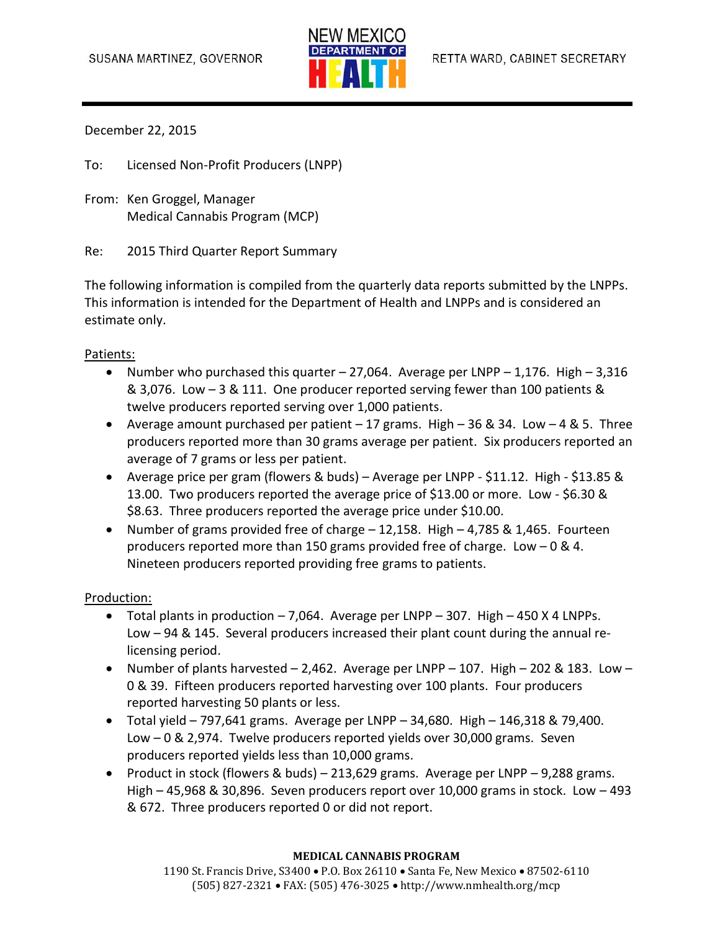

December 22, 2015

To: Licensed Non-Profit Producers (LNPP)

From: Ken Groggel, Manager Medical Cannabis Program (MCP)

Re: 2015 Third Quarter Report Summary

The following information is compiled from the quarterly data reports submitted by the LNPPs. This information is intended for the Department of Health and LNPPs and is considered an estimate only.

## Patients:

- Number who purchased this quarter  $-27,064$ . Average per LNPP  $-1,176$ . High  $-3,316$ & 3,076. Low – 3 & 111. One producer reported serving fewer than 100 patients & twelve producers reported serving over 1,000 patients.
- Average amount purchased per patient 17 grams. High 36 & 34. Low 4 & 5. Three producers reported more than 30 grams average per patient. Six producers reported an average of 7 grams or less per patient.
- Average price per gram (flowers & buds) Average per LNPP \$11.12. High \$13.85 & 13.00. Two producers reported the average price of \$13.00 or more. Low - \$6.30 & \$8.63. Three producers reported the average price under \$10.00.
- Number of grams provided free of charge 12,158. High 4,785 & 1,465. Fourteen producers reported more than 150 grams provided free of charge. Low – 0 & 4. Nineteen producers reported providing free grams to patients.

## Production:

- $\bullet$  Total plants in production  $-7.064$ . Average per LNPP  $-307$ . High  $-450$  X 4 LNPPs. Low – 94 & 145. Several producers increased their plant count during the annual relicensing period.
- Number of plants harvested  $-2,462$ . Average per LNPP 107. High 202 & 183. Low 0 & 39. Fifteen producers reported harvesting over 100 plants. Four producers reported harvesting 50 plants or less.
- $\bullet$  Total yield 797,641 grams. Average per LNPP 34,680. High 146,318 & 79,400. Low – 0 & 2,974. Twelve producers reported yields over 30,000 grams. Seven producers reported yields less than 10,000 grams.
- Product in stock (flowers & buds) 213,629 grams. Average per LNPP 9,288 grams. High – 45,968 & 30,896. Seven producers report over 10,000 grams in stock. Low – 493 & 672. Three producers reported 0 or did not report.

## **MEDICAL CANNABIS PROGRAM**